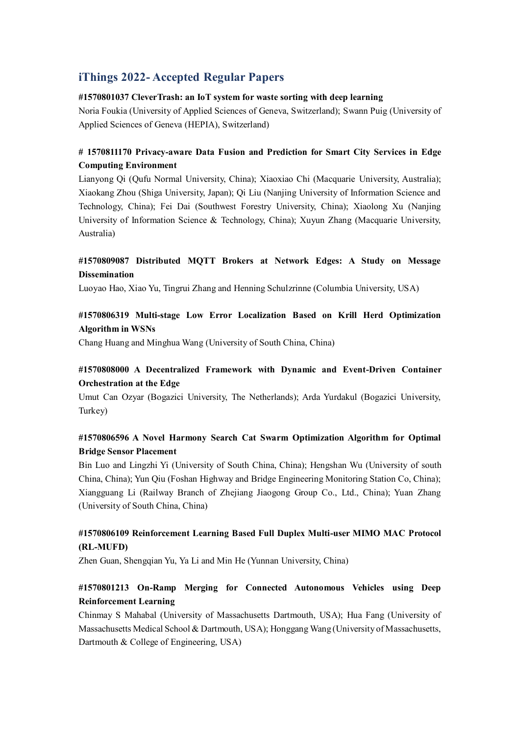# **iThings 2022- Accepted Regular Papers**

#### **#1570801037 CleverTrash: an IoT system for waste sorting with deep learning**

Noria Foukia (University of Applied Sciences of Geneva, Switzerland); Swann Puig (University of Applied Sciences of Geneva (HEPIA), Switzerland)

### **# 1570811170 Privacy-aware Data Fusion and Prediction for Smart City Services in Edge Computing Environment**

Lianyong Qi (Qufu Normal University, China); Xiaoxiao Chi (Macquarie University, Australia); Xiaokang Zhou (Shiga University, Japan); Qi Liu (Nanjing University of Information Science and Technology, China); Fei Dai (Southwest Forestry University, China); Xiaolong Xu (Nanjing University of Information Science & Technology, China); Xuyun Zhang (Macquarie University, Australia)

### **#1570809087 Distributed MQTT Brokers at Network Edges: A Study on Message Dissemination**

Luoyao Hao, Xiao Yu, Tingrui Zhang and Henning Schulzrinne (Columbia University, USA)

### **#1570806319 Multi-stage Low Error Localization Based on Krill Herd Optimization Algorithm in WSNs**

Chang Huang and Minghua Wang (University of South China, China)

### **#1570808000 A Decentralized Framework with Dynamic and Event-Driven Container Orchestration at the Edge**

Umut Can Ozyar (Bogazici University, The Netherlands); Arda Yurdakul (Bogazici University, Turkey)

### **#1570806596 A Novel Harmony Search Cat Swarm Optimization Algorithm for Optimal Bridge Sensor Placement**

Bin Luo and Lingzhi Yi (University of South China, China); Hengshan Wu (University of south China, China); Yun Qiu (Foshan Highway and Bridge Engineering Monitoring Station Co, China); Xiangguang Li (Railway Branch of Zhejiang Jiaogong Group Co., Ltd., China); Yuan Zhang (University of South China, China)

### **#1570806109 Reinforcement Learning Based Full Duplex Multi-user MIMO MAC Protocol (RL-MUFD)**

Zhen Guan, Shengqian Yu, Ya Li and Min He (Yunnan University, China)

### **#1570801213 On-Ramp Merging for Connected Autonomous Vehicles using Deep Reinforcement Learning**

Chinmay S Mahabal (University of Massachusetts Dartmouth, USA); Hua Fang (University of Massachusetts Medical School & Dartmouth, USA); Honggang Wang (University of Massachusetts, Dartmouth & College of Engineering, USA)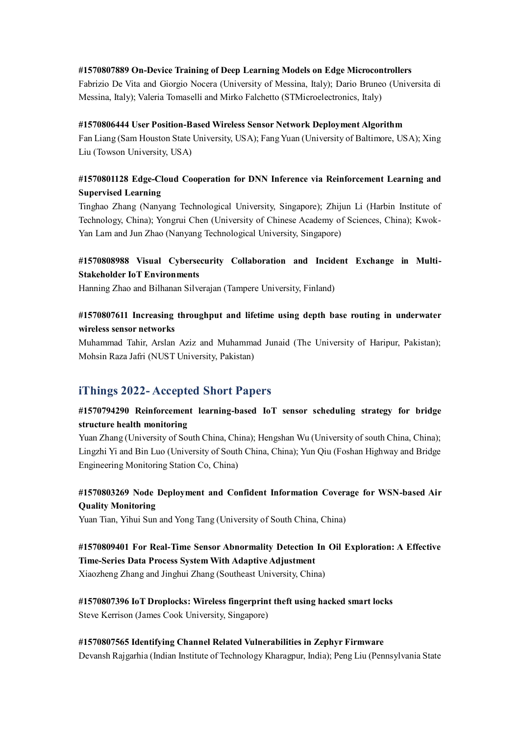#### **#1570807889 On-Device Training of Deep Learning Models on Edge Microcontrollers**

Fabrizio De Vita and Giorgio Nocera (University of Messina, Italy); Dario Bruneo (Universita di Messina, Italy); Valeria Tomaselli and Mirko Falchetto (STMicroelectronics, Italy)

#### **#1570806444 User Position-Based Wireless Sensor Network Deployment Algorithm**

Fan Liang (Sam Houston State University, USA); Fang Yuan (University of Baltimore, USA); Xing Liu (Towson University, USA)

### **#1570801128 Edge-Cloud Cooperation for DNN Inference via Reinforcement Learning and Supervised Learning**

Tinghao Zhang (Nanyang Technological University, Singapore); Zhijun Li (Harbin Institute of Technology, China); Yongrui Chen (University of Chinese Academy of Sciences, China); Kwok-Yan Lam and Jun Zhao (Nanyang Technological University, Singapore)

#### **#1570808988 Visual Cybersecurity Collaboration and Incident Exchange in Multi-Stakeholder IoT Environments**

Hanning Zhao and Bilhanan Silverajan (Tampere University, Finland)

### **#1570807611 Increasing throughput and lifetime using depth base routing in underwater wireless sensor networks**

Muhammad Tahir, Arslan Aziz and Muhammad Junaid (The University of Haripur, Pakistan); Mohsin Raza Jafri (NUST University, Pakistan)

## **iThings 2022- Accepted Short Papers**

#### **#1570794290 Reinforcement learning-based IoT sensor scheduling strategy for bridge structure health monitoring**

Yuan Zhang (University of South China, China); Hengshan Wu (University of south China, China); Lingzhi Yi and Bin Luo (University of South China, China); Yun Qiu (Foshan Highway and Bridge Engineering Monitoring Station Co, China)

### **#1570803269 Node Deployment and Confident Information Coverage for WSN-based Air Quality Monitoring**

Yuan Tian, Yihui Sun and Yong Tang (University of South China, China)

# **#1570809401 For Real-Time Sensor Abnormality Detection In Oil Exploration: A Effective Time-Series Data Process System With Adaptive Adjustment**

Xiaozheng Zhang and Jinghui Zhang (Southeast University, China)

**#1570807396 IoT Droplocks: Wireless fingerprint theft using hacked smart locks** Steve Kerrison (James Cook University, Singapore)

#### **#1570807565 Identifying Channel Related Vulnerabilities in Zephyr Firmware** Devansh Rajgarhia (Indian Institute of Technology Kharagpur, India); Peng Liu (Pennsylvania State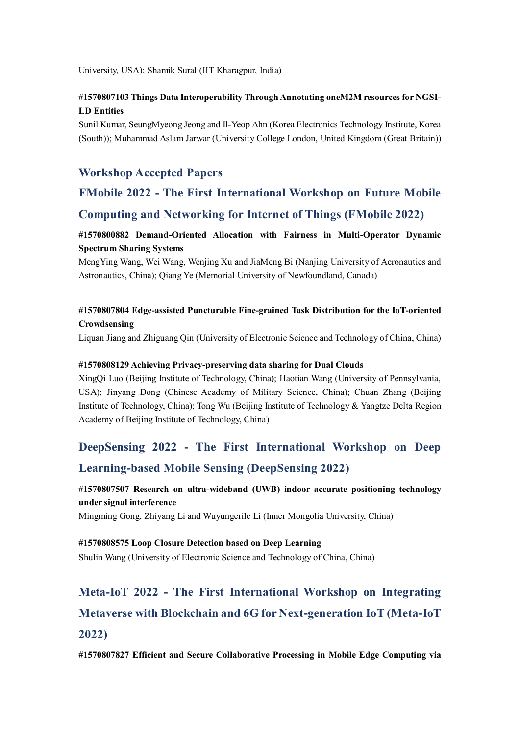University, USA); Shamik Sural (IIT Kharagpur, India)

### **#1570807103 Things Data Interoperability Through Annotating oneM2M resources for NGSI-LD Entities**

Sunil Kumar, SeungMyeong Jeong and Il-Yeop Ahn (Korea Electronics Technology Institute, Korea (South)); Muhammad Aslam Jarwar (University College London, United Kingdom (Great Britain))

## **Workshop Accepted Papers**

# **FMobile 2022 - The First International Workshop on Future Mobile Computing and Networking for Internet of Things (FMobile 2022)**

### **#1570800882 Demand-Oriented Allocation with Fairness in Multi-Operator Dynamic Spectrum Sharing Systems**

MengYing Wang, Wei Wang, Wenjing Xu and JiaMeng Bi (Nanjing University of Aeronautics and Astronautics, China); Qiang Ye (Memorial University of Newfoundland, Canada)

## **#1570807804 Edge-assisted Puncturable Fine-grained Task Distribution for the IoT-oriented Crowdsensing**

Liquan Jiang and Zhiguang Qin (University of Electronic Science and Technology of China, China)

#### **#1570808129 Achieving Privacy-preserving data sharing for Dual Clouds**

XingQi Luo (Beijing Institute of Technology, China); Haotian Wang (University of Pennsylvania, USA); Jinyang Dong (Chinese Academy of Military Science, China); Chuan Zhang (Beijing Institute of Technology, China); Tong Wu (Beijing Institute of Technology & Yangtze Delta Region Academy of Beijing Institute of Technology, China)

# **DeepSensing 2022 - The First International Workshop on Deep Learning-based Mobile Sensing (DeepSensing 2022)**

#### **#1570807507 Research on ultra-wideband (UWB) indoor accurate positioning technology under signal interference**

Mingming Gong, Zhiyang Li and Wuyungerile Li (Inner Mongolia University, China)

**#1570808575 Loop Closure Detection based on Deep Learning** Shulin Wang (University of Electronic Science and Technology of China, China)

# **Meta-IoT 2022 - The First International Workshop on Integrating Metaverse with Blockchain and 6G for Next-generation IoT (Meta-IoT 2022)**

**#1570807827 Efficient and Secure Collaborative Processing in Mobile Edge Computing via**